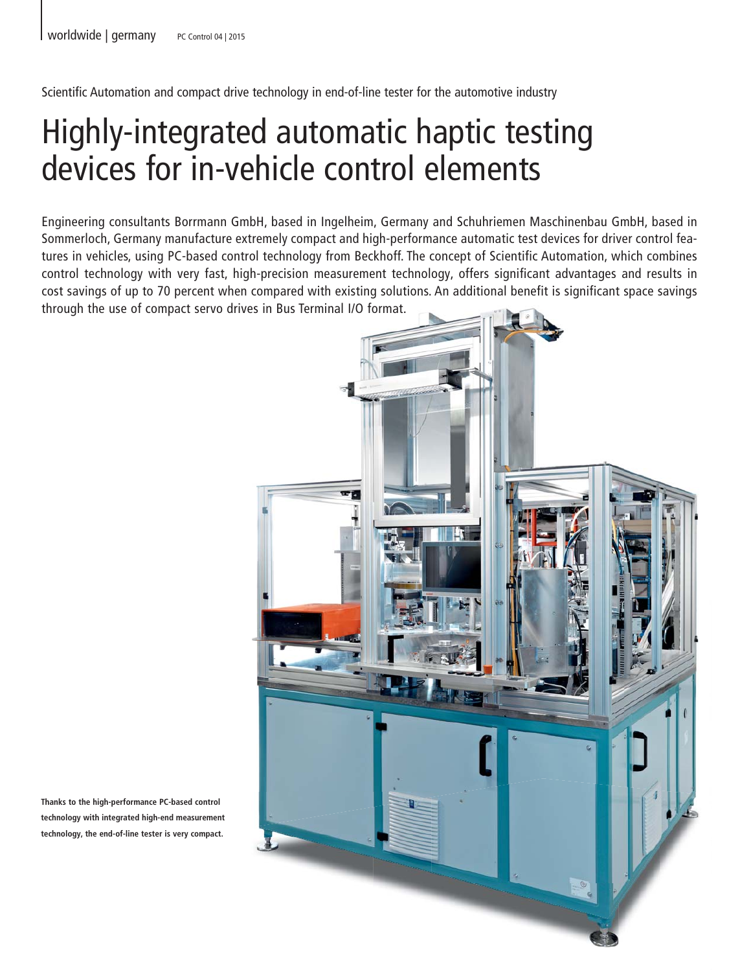Scientific Automation and compact drive technology in end-of-line tester for the automotive industry

# Highly-integrated automatic haptic testing devices for in-vehicle control elements

Engineering consultants Borrmann GmbH, based in Ingelheim, Germany and Schuhriemen Maschinenbau GmbH, based in Sommerloch, Germany manufacture extremely compact and high-performance automatic test devices for driver control features in vehicles, using PC-based control technology from Beckhoff. The concept of Scientific Automation, which combines control technology with very fast, high-precision measurement technology, offers significant advantages and results in cost savings of up to 70 percent when compared with existing solutions. An additional benefit is significant space savings through the use of compact servo drives in Bus Terminal I/O format.



**Thanks to the high-performance PC-based control technology with integrated high-end measurement technology, the end-of-line tester is very compact.**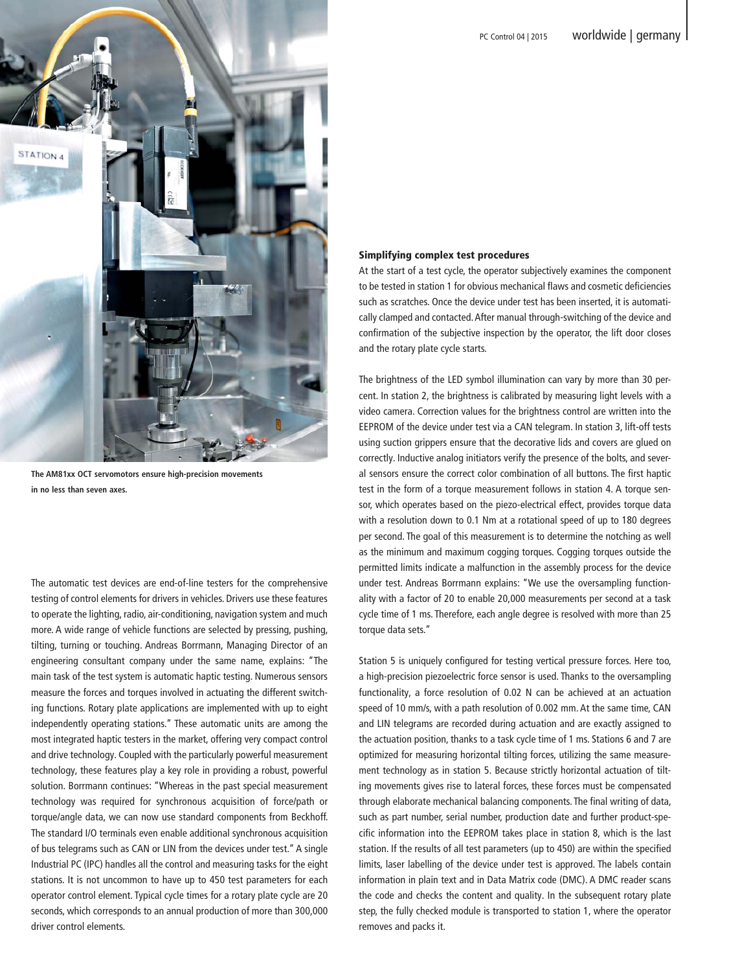

**The AM81xx OCT servomotors ensure high-precision movements in no less than seven axes.**

The automatic test devices are end-of-line testers for the comprehensive testing of control elements for drivers in vehicles. Drivers use these features to operate the lighting, radio, air-conditioning, navigation system and much more. A wide range of vehicle functions are selected by pressing, pushing, tilting, turning or touching. Andreas Borrmann, Managing Director of an engineering consultant company under the same name, explains: "The main task of the test system is automatic haptic testing. Numerous sensors measure the forces and torques involved in actuating the different switching functions. Rotary plate applications are implemented with up to eight independently operating stations." These automatic units are among the most integrated haptic testers in the market, offering very compact control and drive technology. Coupled with the particularly powerful measurement technology, these features play a key role in providing a robust, powerful solution. Borrmann continues: "Whereas in the past special measurement technology was required for synchronous acquisition of force/path or torque/angle data, we can now use standard components from Beckhoff. The standard I/O terminals even enable additional synchronous acquisition of bus telegrams such as CAN or LIN from the devices under test." A single Industrial PC (IPC) handles all the control and measuring tasks for the eight stations. It is not uncommon to have up to 450 test parameters for each operator control element. Typical cycle times for a rotary plate cycle are 20 seconds, which corresponds to an annual production of more than 300,000 driver control elements.

# Simplifying complex test procedures

At the start of a test cycle, the operator subjectively examines the component to be tested in station 1 for obvious mechanical flaws and cosmetic deficiencies such as scratches. Once the device under test has been inserted, it is automatically clamped and contacted. After manual through-switching of the device and confirmation of the subjective inspection by the operator, the lift door closes and the rotary plate cycle starts.

The brightness of the LED symbol illumination can vary by more than 30 percent. In station 2, the brightness is calibrated by measuring light levels with a video camera. Correction values for the brightness control are written into the EEPROM of the device under test via a CAN telegram. In station 3, lift-off tests using suction grippers ensure that the decorative lids and covers are glued on correctly. Inductive analog initiators verify the presence of the bolts, and several sensors ensure the correct color combination of all buttons. The first haptic test in the form of a torque measurement follows in station 4. A torque sensor, which operates based on the piezo-electrical effect, provides torque data with a resolution down to 0.1 Nm at a rotational speed of up to 180 degrees per second. The goal of this measurement is to determine the notching as well as the minimum and maximum cogging torques. Cogging torques outside the permitted limits indicate a malfunction in the assembly process for the device under test. Andreas Borrmann explains: "We use the oversampling functionality with a factor of 20 to enable 20,000 measurements per second at a task cycle time of 1 ms. Therefore, each angle degree is resolved with more than 25 torque data sets."

Station 5 is uniquely configured for testing vertical pressure forces. Here too, a high-precision piezoelectric force sensor is used. Thanks to the oversampling functionality, a force resolution of 0.02 N can be achieved at an actuation speed of 10 mm/s, with a path resolution of 0.002 mm. At the same time, CAN and LIN telegrams are recorded during actuation and are exactly assigned to the actuation position, thanks to a task cycle time of 1 ms. Stations 6 and 7 are optimized for measuring horizontal tilting forces, utilizing the same measurement technology as in station 5. Because strictly horizontal actuation of tilting movements gives rise to lateral forces, these forces must be compensated through elaborate mechanical balancing components. The final writing of data, such as part number, serial number, production date and further product-specific information into the EEPROM takes place in station 8, which is the last station. If the results of all test parameters (up to 450) are within the specified limits, laser labelling of the device under test is approved. The labels contain information in plain text and in Data Matrix code (DMC). A DMC reader scans the code and checks the content and quality. In the subsequent rotary plate step, the fully checked module is transported to station 1, where the operator removes and packs it.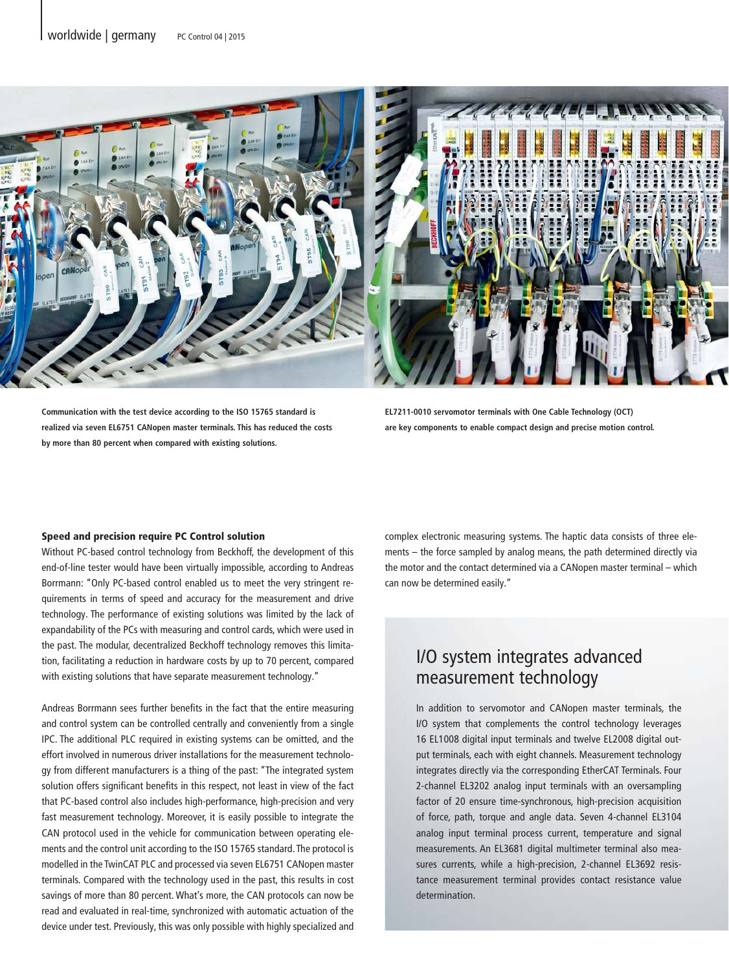

**Communication with the test device according to the ISO 15765 standard is realized via seven EL6751 CANopen master terminals. This has reduced the costs by more than 80 percent when compared with existing solutions.**

**EL7211-0010 servomotor terminals with One Cable Technology (OCT) are key components to enable compact design and precise motion control.**

#### Speed and precision require PC Control solution

Without PC-based control technology from Beckhoff, the development of this end-of-line tester would have been virtually impossible, according to Andreas Borrmann: "Only PC-based control enabled us to meet the very stringent requirements in terms of speed and accuracy for the measurement and drive technology. The performance of existing solutions was limited by the lack of expandability of the PCs with measuring and control cards, which were used in the past. The modular, decentralized Beckhoff technology removes this limitation, facilitating a reduction in hardware costs by up to 70 percent, compared with existing solutions that have separate measurement technology."

Andreas Borrmann sees further benefits in the fact that the entire measuring and control system can be controlled centrally and conveniently from a single IPC. The additional PLC required in existing systems can be omitted, and the effort involved in numerous driver installations for the measurement technology from different manufacturers is a thing of the past: "The integrated system solution offers significant benefits in this respect, not least in view of the fact that PC-based control also includes high-performance, high-precision and very fast measurement technology. Moreover, it is easily possible to integrate the CAN protocol used in the vehicle for communication between operating elements and the control unit according to the ISO 15765 standard. The protocol is modelled in the TwinCAT PLC and processed via seven EL6751 CANopen master terminals. Compared with the technology used in the past, this results in cost savings of more than 80 percent. What's more, the CAN protocols can now be read and evaluated in real-time, synchronized with automatic actuation of the device under test. Previously, this was only possible with highly specialized and

complex electronic measuring systems. The haptic data consists of three elements – the force sampled by analog means, the path determined directly via the motor and the contact determined via a CANopen master terminal – which can now be determined easily."

# I/O system integrates advanced measurement technology

In addition to servomotor and CANopen master terminals, the I/O system that complements the control technology leverages 16 EL1008 digital input terminals and twelve EL2008 digital output terminals, each with eight channels. Measurement technology integrates directly via the corresponding EtherCAT Terminals. Four 2-channel EL3202 analog input terminals with an oversampling factor of 20 ensure time-synchronous, high-precision acquisition of force, path, torque and angle data. Seven 4-channel EL3104 analog input terminal process current, temperature and signal measurements. An EL3681 digital multimeter terminal also measures currents, while a high-precision, 2-channel EL3692 resistance measurement terminal provides contact resistance value determination.